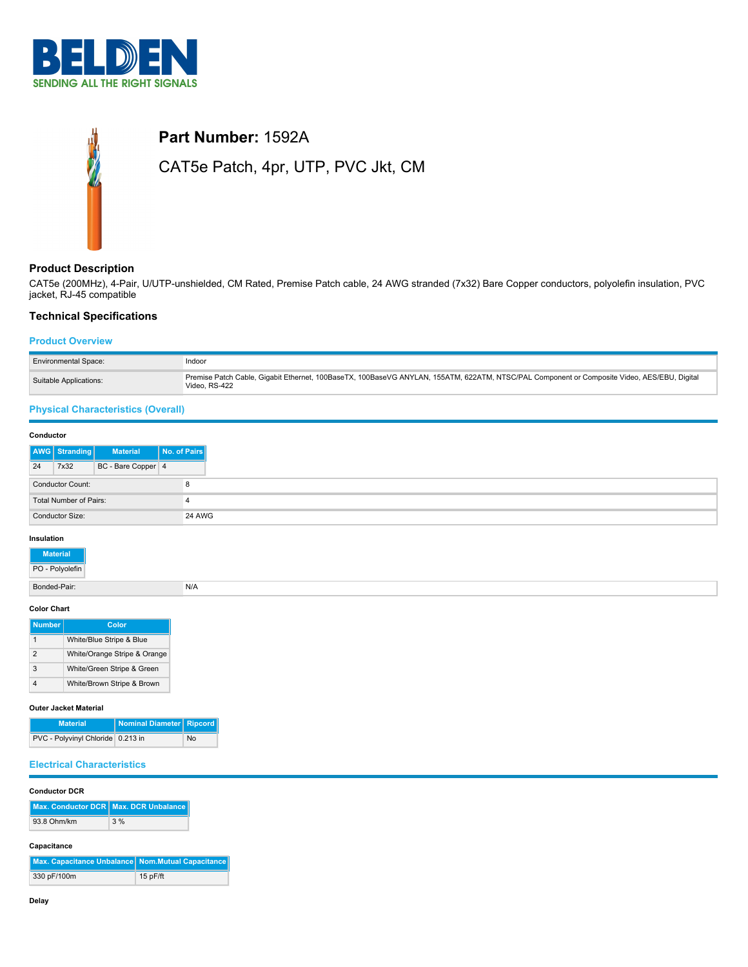

# **Part Number:** 1592A CAT5e Patch, 4pr, UTP, PVC Jkt, CM

## **Product Description**

CAT5e (200MHz), 4-Pair, U/UTP-unshielded, CM Rated, Premise Patch cable, 24 AWG stranded (7x32) Bare Copper conductors, polyolefin insulation, PVC jacket, RJ-45 compatible

# **Technical Specifications**

## **Product Overview**

| <b>Environmental Space:</b> | Indoor                                                                                                                                                       |
|-----------------------------|--------------------------------------------------------------------------------------------------------------------------------------------------------------|
| Suitable Applications:      | Premise Patch Cable, Gigabit Ethernet, 100BaseTX, 100BaseVG ANYLAN, 155ATM, 622ATM, NTSC/PAL Component or Composite Video, AES/EBU, Digital<br>Video, RS-422 |

## **Physical Characteristics (Overall)**

| Conductor              |                              |                    |              |
|------------------------|------------------------------|--------------------|--------------|
|                        | <b>AWG</b> Stranding         | <b>Material</b>    | No. of Pairs |
| 24                     | 7x32                         | BC - Bare Copper 4 |              |
|                        | <b>Conductor Count:</b><br>8 |                    |              |
| Total Number of Pairs: |                              |                    |              |
| Conductor Size:        |                              | <b>24 AWG</b>      |              |

## **Insulation**

| Material<br>PO - Polyolefin |     |
|-----------------------------|-----|
| Bonded-Pair:                | N/A |
| Color Chart                 |     |

## **Color Chart**

| <b>Number</b> | Color                        |
|---------------|------------------------------|
|               | White/Blue Stripe & Blue     |
| 2             | White/Orange Stripe & Orange |
| 3             | White/Green Stripe & Green   |
|               | White/Brown Stripe & Brown   |

#### **Outer Jacket Material**

| <b>Material</b>                     | Nominal Diameter   Ripcord |    |
|-------------------------------------|----------------------------|----|
| PVC - Polyvinyl Chloride   0.213 in |                            | No |

# **Electrical Characteristics**

 $\overline{\phantom{a}}$ 

## **Conductor DCR**

|             | Max. Conductor DCR Max. DCR Unbalance |
|-------------|---------------------------------------|
| 93.8 Ohm/km | 3%                                    |

## **Capacitance**

| Max. Capacitance Unbalance Nom.Mutual Capacitance |            |
|---------------------------------------------------|------------|
| 330 pF/100m                                       | $15p$ F/ft |

 $\sim$ 

 $\sim$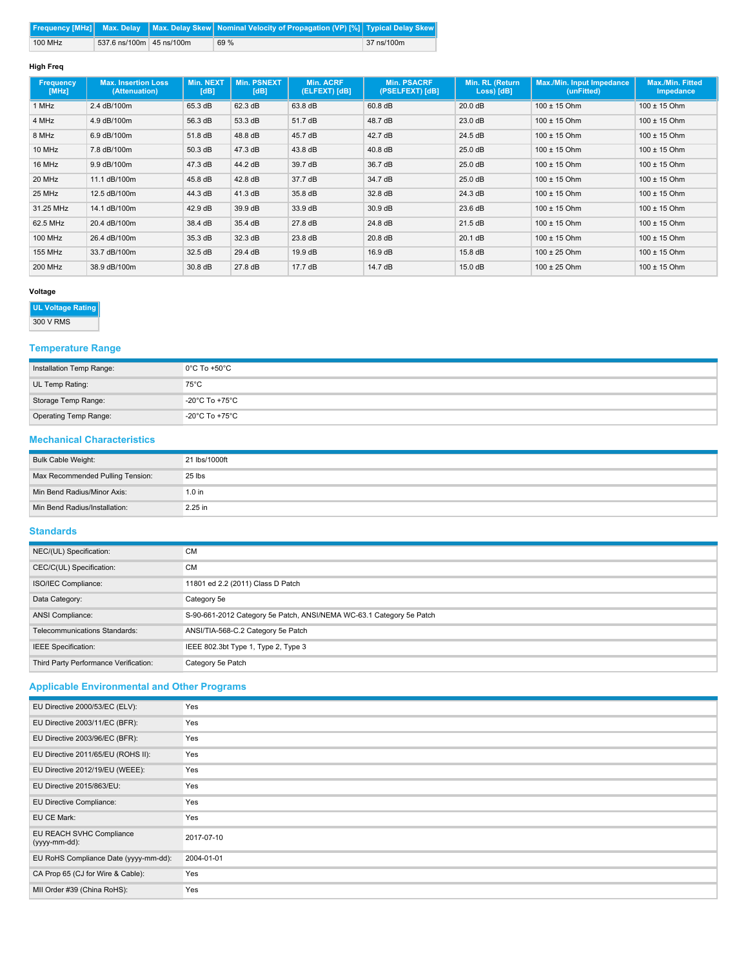|         |                          | Frequency [MHz]   Max. Delay   Max. Delay Skew   Nominal Velocity of Propagation (VP) [%]   Typical Delay Skew |            |
|---------|--------------------------|----------------------------------------------------------------------------------------------------------------|------------|
| 100 MHz | 537.6 ns/100m 45 ns/100m | 69 %                                                                                                           | 37 ns/100m |

## **High Freq**

| Frequency<br>[MHz] | <b>Max. Insertion Loss</b><br>(Attenuation) | <b>Min. NEXT</b><br>[dB] | Min. PSNEXT<br>[dB] | <b>Min. ACRF</b><br>(ELFEXT) [dB] | <b>Min. PSACRF</b><br>(PSELFEXT) [dB] | Min. RL (Return<br>Loss) [dB] | <b>Max./Min. Input Impedance</b><br>(unFitted) | Max./Min. Fitted<br>Impedance |
|--------------------|---------------------------------------------|--------------------------|---------------------|-----------------------------------|---------------------------------------|-------------------------------|------------------------------------------------|-------------------------------|
| 1 MHz              | 2.4 dB/100m                                 | 65.3 dB                  | 62.3 dB             | 63.8 dB                           | $60.8$ dB                             | 20.0 dB                       | $100 \pm 15$ Ohm                               | $100 \pm 15$ Ohm              |
| 4 MHz              | 4.9 dB/100m                                 | 56.3 dB                  | 53.3 dB             | 51.7 dB                           | 48.7 dB                               | 23.0 dB                       | $100 \pm 15$ Ohm                               | $100 \pm 15$ Ohm              |
| 8 MHz              | 6.9 dB/100m                                 | 51.8 dB                  | 48.8 dB             | 45.7 dB                           | 42.7 dB                               | 24.5 dB                       | $100 \pm 15$ Ohm                               | $100 \pm 15$ Ohm              |
| 10 MHz             | 7.8 dB/100m                                 | 50.3 dB                  | 47.3 dB             | 43.8 dB                           | 40.8 dB                               | 25.0 dB                       | $100 \pm 15$ Ohm                               | $100 \pm 15$ Ohm              |
| 16 MHz             | 9.9 dB/100m                                 | 47.3 dB                  | 44.2 dB             | 39.7 dB                           | 36.7 dB                               | 25.0 dB                       | $100 \pm 15$ Ohm                               | $100 \pm 15$ Ohm              |
| 20 MHz             | 11.1 dB/100m                                | 45.8 dB                  | 42.8 dB             | 37.7 dB                           | 34.7 dB                               | 25.0 dB                       | $100 \pm 15$ Ohm                               | $100 \pm 15$ Ohm              |
| 25 MHz             | 12.5 dB/100m                                | 44.3 dB                  | 41.3 dB             | 35.8 dB                           | 32.8 dB                               | 24.3 dB                       | $100 \pm 15$ Ohm                               | $100 \pm 15$ Ohm              |
| 31.25 MHz          | 14.1 dB/100m                                | 42.9 dB                  | 39.9 dB             | 33.9 dB                           | 30.9 dB                               | 23.6 dB                       | $100 \pm 15$ Ohm                               | $100 \pm 15$ Ohm              |
| 62.5 MHz           | 20.4 dB/100m                                | 38.4 dB                  | 35.4 dB             | 27.8 dB                           | 24.8 dB                               | 21.5 dB                       | $100 \pm 15$ Ohm                               | $100 \pm 15$ Ohm              |
| <b>100 MHz</b>     | 26.4 dB/100m                                | 35.3 dB                  | 32.3 dB             | 23.8 dB                           | $20.8$ dB                             | 20.1 dB                       | $100 \pm 15$ Ohm                               | $100 \pm 15$ Ohm              |
| <b>155 MHz</b>     | 33.7 dB/100m                                | 32.5 dB                  | 29.4 dB             | 19.9 dB                           | 16.9 dB                               | 15.8 dB                       | $100 \pm 25$ Ohm                               | $100 \pm 15$ Ohm              |
| <b>200 MHz</b>     | 38.9 dB/100m                                | 30.8 dB                  | 27.8 dB             | 17.7dB                            | 14.7 dB                               | 15.0 dB                       | $100 \pm 25$ Ohm                               | $100 \pm 15$ Ohm              |

## **Voltage**

# **UL Voltage Rating**

300 V RMS

# **Temperature Range**

| Installation Temp Range: | $0^{\circ}$ C To +50 $^{\circ}$ C   |
|--------------------------|-------------------------------------|
| UL Temp Rating:          | $75^{\circ}$ C                      |
| Storage Temp Range:      | $-20^{\circ}$ C To +75 $^{\circ}$ C |
| Operating Temp Range:    | $-20^{\circ}$ C To +75 $^{\circ}$ C |

## **Mechanical Characteristics**

| Bulk Cable Weight:               | 21 lbs/1000ft |
|----------------------------------|---------------|
| Max Recommended Pulling Tension: | 25 lbs        |
| Min Bend Radius/Minor Axis:      | $1.0$ in      |
| Min Bend Radius/Installation:    | 2.25 in       |

# **Standards**

| NEC/(UL) Specification:               | <b>CM</b>                                                            |
|---------------------------------------|----------------------------------------------------------------------|
| CEC/C(UL) Specification:              | <b>CM</b>                                                            |
| ISO/IEC Compliance:                   | 11801 ed 2.2 (2011) Class D Patch                                    |
| Data Category:                        | Category 5e                                                          |
| ANSI Compliance:                      | S-90-661-2012 Category 5e Patch, ANSI/NEMA WC-63.1 Category 5e Patch |
| Telecommunications Standards:         | ANSI/TIA-568-C.2 Category 5e Patch                                   |
| <b>IEEE</b> Specification:            | IEEE 802.3bt Type 1, Type 2, Type 3                                  |
| Third Party Performance Verification: | Category 5e Patch                                                    |

# **Applicable Environmental and Other Programs**

| EU Directive 2000/53/EC (ELV):            | Yes        |
|-------------------------------------------|------------|
| EU Directive 2003/11/EC (BFR):            | Yes        |
| EU Directive 2003/96/EC (BFR):            | Yes        |
| EU Directive 2011/65/EU (ROHS II):        | Yes        |
| EU Directive 2012/19/EU (WEEE):           | Yes        |
| EU Directive 2015/863/EU:                 | Yes        |
| EU Directive Compliance:                  | Yes        |
| EU CE Mark:                               | Yes        |
| EU REACH SVHC Compliance<br>(yyyy-mm-dd): | 2017-07-10 |
| EU RoHS Compliance Date (yyyy-mm-dd):     | 2004-01-01 |
| CA Prop 65 (CJ for Wire & Cable):         | Yes        |
| MII Order #39 (China RoHS):               | Yes        |